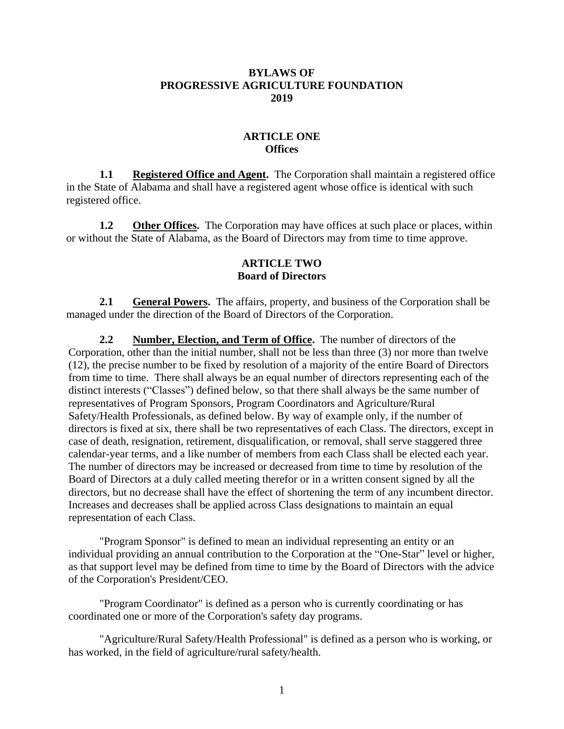#### **BYLAWS OF PROGRESSIVE AGRICULTURE FOUNDATION 2019**

#### **ARTICLE ONE Offices**

**1.1 Registered Office and Agent.** The Corporation shall maintain a registered office in the State of Alabama and shall have a registered agent whose office is identical with such registered office.

**1.2** Other Offices. The Corporation may have offices at such place or places, within or without the State of Alabama, as the Board of Directors may from time to time approve.

#### **ARTICLE TWO Board of Directors**

**2.1 General Powers.** The affairs, property, and business of the Corporation shall be managed under the direction of the Board of Directors of the Corporation.

**2.2 Number, Election, and Term of Office.** The number of directors of the Corporation, other than the initial number, shall not be less than three (3) nor more than twelve (12), the precise number to be fixed by resolution of a majority of the entire Board of Directors from time to time. There shall always be an equal number of directors representing each of the distinct interests ("Classes") defined below, so that there shall always be the same number of representatives of Program Sponsors, Program Coordinators and Agriculture/Rural Safety/Health Professionals, as defined below. By way of example only, if the number of directors is fixed at six, there shall be two representatives of each Class. The directors, except in case of death, resignation, retirement, disqualification, or removal, shall serve staggered three calendar-year terms, and a like number of members from each Class shall be elected each year. The number of directors may be increased or decreased from time to time by resolution of the Board of Directors at a duly called meeting therefor or in a written consent signed by all the directors, but no decrease shall have the effect of shortening the term of any incumbent director. Increases and decreases shall be applied across Class designations to maintain an equal representation of each Class.

"Program Sponsor" is defined to mean an individual representing an entity or an individual providing an annual contribution to the Corporation at the "One-Star" level or higher, as that support level may be defined from time to time by the Board of Directors with the advice of the Corporation's President/CEO.

"Program Coordinator" is defined as a person who is currently coordinating or has coordinated one or more of the Corporation's safety day programs.

"Agriculture/Rural Safety/Health Professional" is defined as a person who is working, or has worked, in the field of agriculture/rural safety/health.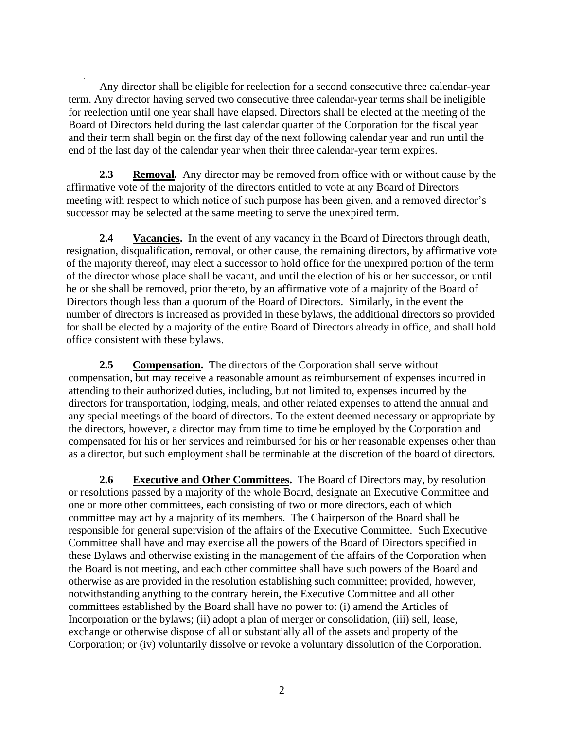Any director shall be eligible for reelection for a second consecutive three calendar-year term. Any director having served two consecutive three calendar-year terms shall be ineligible for reelection until one year shall have elapsed. Directors shall be elected at the meeting of the Board of Directors held during the last calendar quarter of the Corporation for the fiscal year and their term shall begin on the first day of the next following calendar year and run until the end of the last day of the calendar year when their three calendar-year term expires.

**2.3 Removal.** Any director may be removed from office with or without cause by the affirmative vote of the majority of the directors entitled to vote at any Board of Directors meeting with respect to which notice of such purpose has been given, and a removed director's successor may be selected at the same meeting to serve the unexpired term.

**2.4** Vacancies. In the event of any vacancy in the Board of Directors through death, resignation, disqualification, removal, or other cause, the remaining directors, by affirmative vote of the majority thereof, may elect a successor to hold office for the unexpired portion of the term of the director whose place shall be vacant, and until the election of his or her successor, or until he or she shall be removed, prior thereto, by an affirmative vote of a majority of the Board of Directors though less than a quorum of the Board of Directors. Similarly, in the event the number of directors is increased as provided in these bylaws, the additional directors so provided for shall be elected by a majority of the entire Board of Directors already in office, and shall hold office consistent with these bylaws.

**2.5 Compensation.** The directors of the Corporation shall serve without compensation, but may receive a reasonable amount as reimbursement of expenses incurred in attending to their authorized duties, including, but not limited to, expenses incurred by the directors for transportation, lodging, meals, and other related expenses to attend the annual and any special meetings of the board of directors. To the extent deemed necessary or appropriate by the directors, however, a director may from time to time be employed by the Corporation and compensated for his or her services and reimbursed for his or her reasonable expenses other than as a director, but such employment shall be terminable at the discretion of the board of directors.

**2.6 Executive and Other Committees.** The Board of Directors may, by resolution or resolutions passed by a majority of the whole Board, designate an Executive Committee and one or more other committees, each consisting of two or more directors, each of which committee may act by a majority of its members. The Chairperson of the Board shall be responsible for general supervision of the affairs of the Executive Committee. Such Executive Committee shall have and may exercise all the powers of the Board of Directors specified in these Bylaws and otherwise existing in the management of the affairs of the Corporation when the Board is not meeting, and each other committee shall have such powers of the Board and otherwise as are provided in the resolution establishing such committee; provided, however, notwithstanding anything to the contrary herein, the Executive Committee and all other committees established by the Board shall have no power to: (i) amend the Articles of Incorporation or the bylaws; (ii) adopt a plan of merger or consolidation, (iii) sell, lease, exchange or otherwise dispose of all or substantially all of the assets and property of the Corporation; or (iv) voluntarily dissolve or revoke a voluntary dissolution of the Corporation.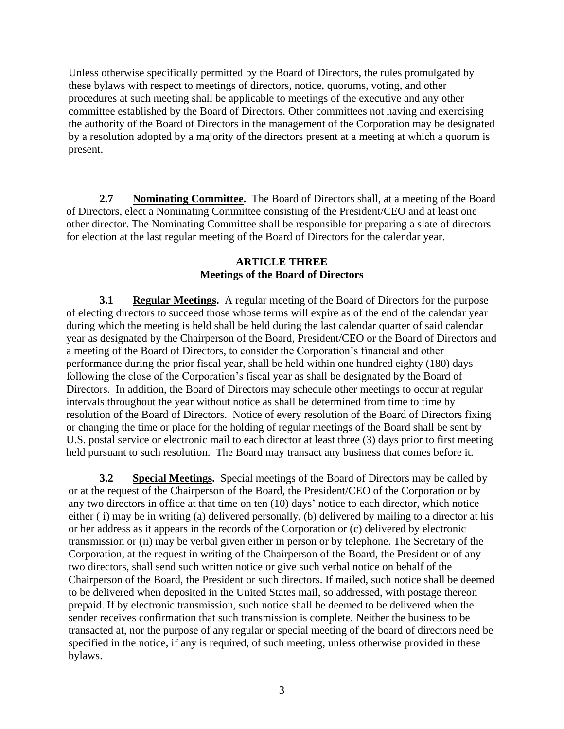Unless otherwise specifically permitted by the Board of Directors, the rules promulgated by these bylaws with respect to meetings of directors, notice, quorums, voting, and other procedures at such meeting shall be applicable to meetings of the executive and any other committee established by the Board of Directors. Other committees not having and exercising the authority of the Board of Directors in the management of the Corporation may be designated by a resolution adopted by a majority of the directors present at a meeting at which a quorum is present.

**2.7 Nominating Committee.** The Board of Directors shall, at a meeting of the Board of Directors, elect a Nominating Committee consisting of the President/CEO and at least one other director. The Nominating Committee shall be responsible for preparing a slate of directors for election at the last regular meeting of the Board of Directors for the calendar year.

#### **ARTICLE THREE Meetings of the Board of Directors**

**3.1 Regular Meetings.** A regular meeting of the Board of Directors for the purpose of electing directors to succeed those whose terms will expire as of the end of the calendar year during which the meeting is held shall be held during the last calendar quarter of said calendar year as designated by the Chairperson of the Board, President/CEO or the Board of Directors and a meeting of the Board of Directors, to consider the Corporation's financial and other performance during the prior fiscal year, shall be held within one hundred eighty (180) days following the close of the Corporation's fiscal year as shall be designated by the Board of Directors. In addition, the Board of Directors may schedule other meetings to occur at regular intervals throughout the year without notice as shall be determined from time to time by resolution of the Board of Directors. Notice of every resolution of the Board of Directors fixing or changing the time or place for the holding of regular meetings of the Board shall be sent by U.S. postal service or electronic mail to each director at least three (3) days prior to first meeting held pursuant to such resolution. The Board may transact any business that comes before it.

**3.2 Special Meetings.** Special meetings of the Board of Directors may be called by or at the request of the Chairperson of the Board, the President/CEO of the Corporation or by any two directors in office at that time on ten (10) days' notice to each director, which notice either ( i) may be in writing (a) delivered personally, (b) delivered by mailing to a director at his or her address as it appears in the records of the Corporation or (c) delivered by electronic transmission or (ii) may be verbal given either in person or by telephone. The Secretary of the Corporation, at the request in writing of the Chairperson of the Board, the President or of any two directors, shall send such written notice or give such verbal notice on behalf of the Chairperson of the Board, the President or such directors. If mailed, such notice shall be deemed to be delivered when deposited in the United States mail, so addressed, with postage thereon prepaid. If by electronic transmission, such notice shall be deemed to be delivered when the sender receives confirmation that such transmission is complete. Neither the business to be transacted at, nor the purpose of any regular or special meeting of the board of directors need be specified in the notice, if any is required, of such meeting, unless otherwise provided in these bylaws.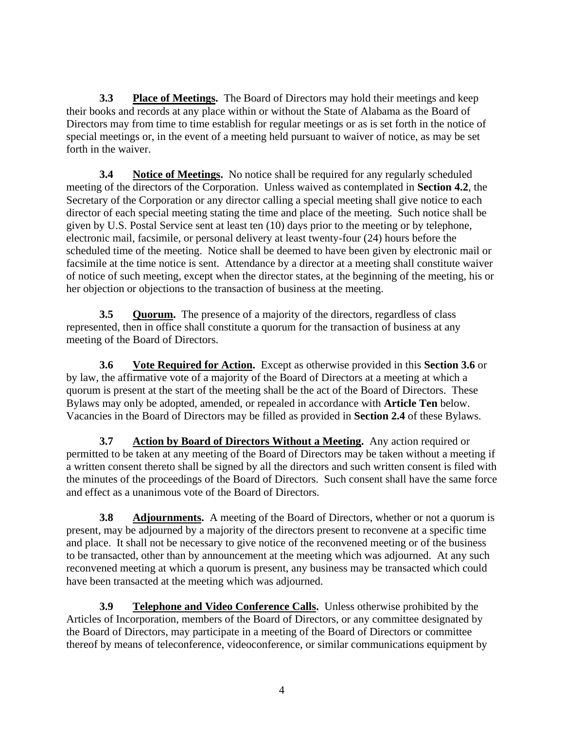**3.3 Place of Meetings.** The Board of Directors may hold their meetings and keep their books and records at any place within or without the State of Alabama as the Board of Directors may from time to time establish for regular meetings or as is set forth in the notice of special meetings or, in the event of a meeting held pursuant to waiver of notice, as may be set forth in the waiver.

**3.4** Notice of Meetings. No notice shall be required for any regularly scheduled meeting of the directors of the Corporation. Unless waived as contemplated in **Section 4.2**, the Secretary of the Corporation or any director calling a special meeting shall give notice to each director of each special meeting stating the time and place of the meeting. Such notice shall be given by U.S. Postal Service sent at least ten (10) days prior to the meeting or by telephone, electronic mail, facsimile, or personal delivery at least twenty-four (24) hours before the scheduled time of the meeting. Notice shall be deemed to have been given by electronic mail or facsimile at the time notice is sent. Attendance by a director at a meeting shall constitute waiver of notice of such meeting, except when the director states, at the beginning of the meeting, his or her objection or objections to the transaction of business at the meeting.

**3.5 Quorum.** The presence of a majority of the directors, regardless of class represented, then in office shall constitute a quorum for the transaction of business at any meeting of the Board of Directors.

**3.6 Vote Required for Action.** Except as otherwise provided in this **Section 3.6** or by law, the affirmative vote of a majority of the Board of Directors at a meeting at which a quorum is present at the start of the meeting shall be the act of the Board of Directors. These Bylaws may only be adopted, amended, or repealed in accordance with **Article Ten** below. Vacancies in the Board of Directors may be filled as provided in **Section 2.4** of these Bylaws.

**3.7 Action by Board of Directors Without a Meeting.** Any action required or permitted to be taken at any meeting of the Board of Directors may be taken without a meeting if a written consent thereto shall be signed by all the directors and such written consent is filed with the minutes of the proceedings of the Board of Directors. Such consent shall have the same force and effect as a unanimous vote of the Board of Directors.

**3.8 Adjournments.** A meeting of the Board of Directors, whether or not a quorum is present, may be adjourned by a majority of the directors present to reconvene at a specific time and place. It shall not be necessary to give notice of the reconvened meeting or of the business to be transacted, other than by announcement at the meeting which was adjourned. At any such reconvened meeting at which a quorum is present, any business may be transacted which could have been transacted at the meeting which was adjourned.

**3.9** Telephone and Video Conference Calls. Unless otherwise prohibited by the Articles of Incorporation, members of the Board of Directors, or any committee designated by the Board of Directors, may participate in a meeting of the Board of Directors or committee thereof by means of teleconference, videoconference, or similar communications equipment by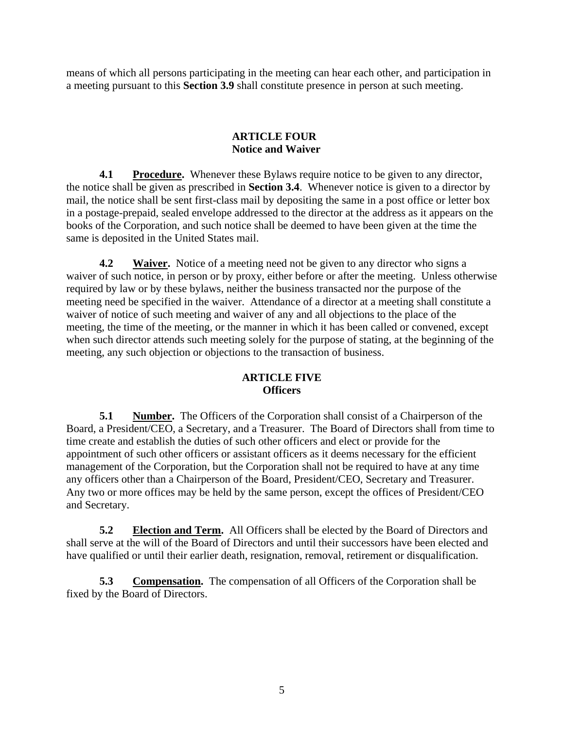means of which all persons participating in the meeting can hear each other, and participation in a meeting pursuant to this **Section 3.9** shall constitute presence in person at such meeting.

## **ARTICLE FOUR Notice and Waiver**

**4.1 Procedure.** Whenever these Bylaws require notice to be given to any director, the notice shall be given as prescribed in **Section 3.4**. Whenever notice is given to a director by mail, the notice shall be sent first-class mail by depositing the same in a post office or letter box in a postage-prepaid, sealed envelope addressed to the director at the address as it appears on the books of the Corporation, and such notice shall be deemed to have been given at the time the same is deposited in the United States mail.

**4.2** Waiver. Notice of a meeting need not be given to any director who signs a waiver of such notice, in person or by proxy, either before or after the meeting. Unless otherwise required by law or by these bylaws, neither the business transacted nor the purpose of the meeting need be specified in the waiver. Attendance of a director at a meeting shall constitute a waiver of notice of such meeting and waiver of any and all objections to the place of the meeting, the time of the meeting, or the manner in which it has been called or convened, except when such director attends such meeting solely for the purpose of stating, at the beginning of the meeting, any such objection or objections to the transaction of business.

## **ARTICLE FIVE Officers**

**5.1 Number.** The Officers of the Corporation shall consist of a Chairperson of the Board, a President/CEO, a Secretary, and a Treasurer. The Board of Directors shall from time to time create and establish the duties of such other officers and elect or provide for the appointment of such other officers or assistant officers as it deems necessary for the efficient management of the Corporation, but the Corporation shall not be required to have at any time any officers other than a Chairperson of the Board, President/CEO, Secretary and Treasurer. Any two or more offices may be held by the same person, except the offices of President/CEO and Secretary.

**5.2 Election and Term.** All Officers shall be elected by the Board of Directors and shall serve at the will of the Board of Directors and until their successors have been elected and have qualified or until their earlier death, resignation, removal, retirement or disqualification.

**5.3 Compensation.** The compensation of all Officers of the Corporation shall be fixed by the Board of Directors.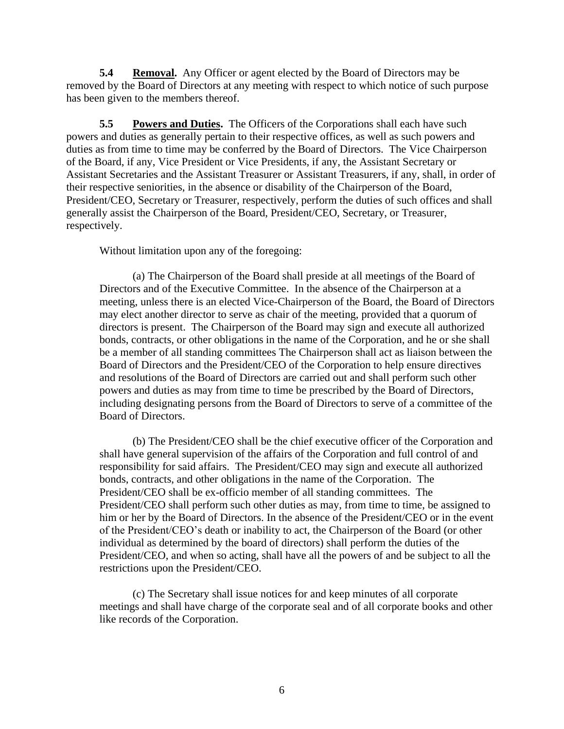**5.4 Removal.** Any Officer or agent elected by the Board of Directors may be removed by the Board of Directors at any meeting with respect to which notice of such purpose has been given to the members thereof.

**5.5 Powers and Duties.** The Officers of the Corporations shall each have such powers and duties as generally pertain to their respective offices, as well as such powers and duties as from time to time may be conferred by the Board of Directors. The Vice Chairperson of the Board, if any, Vice President or Vice Presidents, if any, the Assistant Secretary or Assistant Secretaries and the Assistant Treasurer or Assistant Treasurers, if any, shall, in order of their respective seniorities, in the absence or disability of the Chairperson of the Board, President/CEO, Secretary or Treasurer, respectively, perform the duties of such offices and shall generally assist the Chairperson of the Board, President/CEO, Secretary, or Treasurer, respectively.

Without limitation upon any of the foregoing:

(a) The Chairperson of the Board shall preside at all meetings of the Board of Directors and of the Executive Committee. In the absence of the Chairperson at a meeting, unless there is an elected Vice-Chairperson of the Board, the Board of Directors may elect another director to serve as chair of the meeting, provided that a quorum of directors is present. The Chairperson of the Board may sign and execute all authorized bonds, contracts, or other obligations in the name of the Corporation, and he or she shall be a member of all standing committees The Chairperson shall act as liaison between the Board of Directors and the President/CEO of the Corporation to help ensure directives and resolutions of the Board of Directors are carried out and shall perform such other powers and duties as may from time to time be prescribed by the Board of Directors, including designating persons from the Board of Directors to serve of a committee of the Board of Directors.

(b) The President/CEO shall be the chief executive officer of the Corporation and shall have general supervision of the affairs of the Corporation and full control of and responsibility for said affairs. The President/CEO may sign and execute all authorized bonds, contracts, and other obligations in the name of the Corporation. The President/CEO shall be ex-officio member of all standing committees. The President/CEO shall perform such other duties as may, from time to time, be assigned to him or her by the Board of Directors. In the absence of the President/CEO or in the event of the President/CEO's death or inability to act, the Chairperson of the Board (or other individual as determined by the board of directors) shall perform the duties of the President/CEO, and when so acting, shall have all the powers of and be subject to all the restrictions upon the President/CEO.

(c) The Secretary shall issue notices for and keep minutes of all corporate meetings and shall have charge of the corporate seal and of all corporate books and other like records of the Corporation.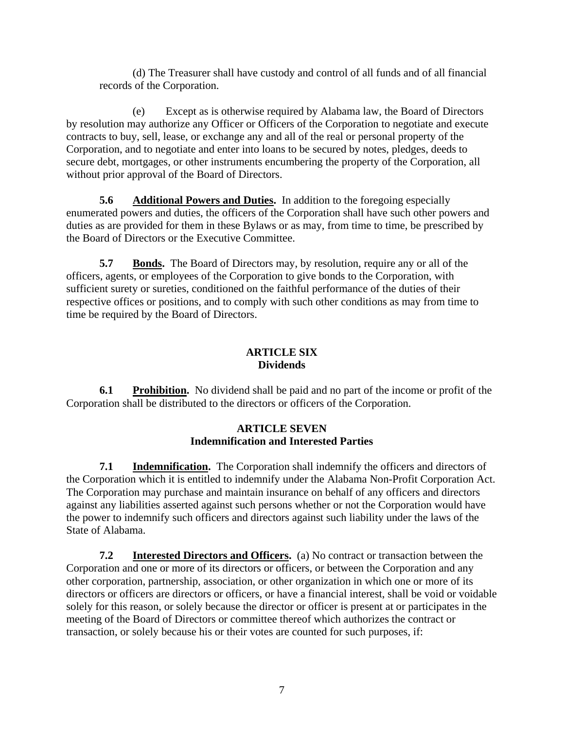(d) The Treasurer shall have custody and control of all funds and of all financial records of the Corporation.

(e) Except as is otherwise required by Alabama law, the Board of Directors by resolution may authorize any Officer or Officers of the Corporation to negotiate and execute contracts to buy, sell, lease, or exchange any and all of the real or personal property of the Corporation, and to negotiate and enter into loans to be secured by notes, pledges, deeds to secure debt, mortgages, or other instruments encumbering the property of the Corporation, all without prior approval of the Board of Directors.

**5.6** Additional Powers and Duties. In addition to the foregoing especially enumerated powers and duties, the officers of the Corporation shall have such other powers and duties as are provided for them in these Bylaws or as may, from time to time, be prescribed by the Board of Directors or the Executive Committee.

**5.7 Bonds.** The Board of Directors may, by resolution, require any or all of the officers, agents, or employees of the Corporation to give bonds to the Corporation, with sufficient surety or sureties, conditioned on the faithful performance of the duties of their respective offices or positions, and to comply with such other conditions as may from time to time be required by the Board of Directors.

## **ARTICLE SIX Dividends**

**6.1 Prohibition.** No dividend shall be paid and no part of the income or profit of the Corporation shall be distributed to the directors or officers of the Corporation.

# **ARTICLE SEVEN Indemnification and Interested Parties**

**7.1 Indemnification.** The Corporation shall indemnify the officers and directors of the Corporation which it is entitled to indemnify under the Alabama Non-Profit Corporation Act. The Corporation may purchase and maintain insurance on behalf of any officers and directors against any liabilities asserted against such persons whether or not the Corporation would have the power to indemnify such officers and directors against such liability under the laws of the State of Alabama.

**7.2 Interested Directors and Officers.** (a) No contract or transaction between the Corporation and one or more of its directors or officers, or between the Corporation and any other corporation, partnership, association, or other organization in which one or more of its directors or officers are directors or officers, or have a financial interest, shall be void or voidable solely for this reason, or solely because the director or officer is present at or participates in the meeting of the Board of Directors or committee thereof which authorizes the contract or transaction, or solely because his or their votes are counted for such purposes, if: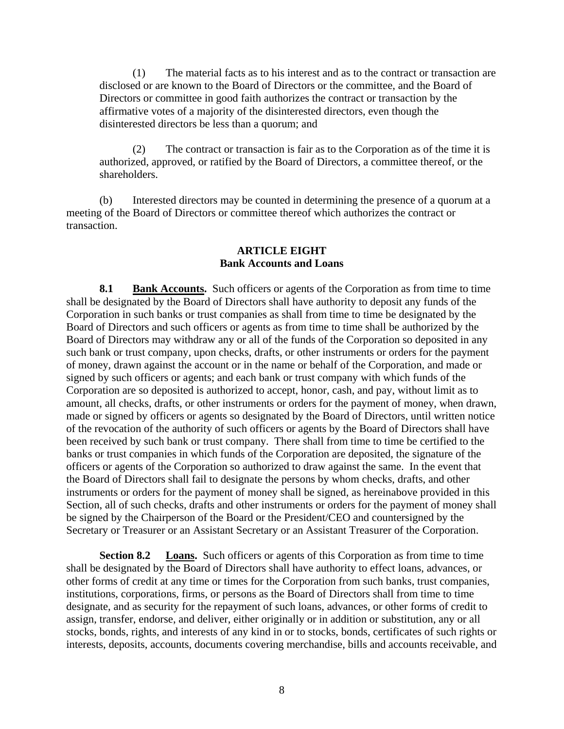(1) The material facts as to his interest and as to the contract or transaction are disclosed or are known to the Board of Directors or the committee, and the Board of Directors or committee in good faith authorizes the contract or transaction by the affirmative votes of a majority of the disinterested directors, even though the disinterested directors be less than a quorum; and

(2) The contract or transaction is fair as to the Corporation as of the time it is authorized, approved, or ratified by the Board of Directors, a committee thereof, or the shareholders.

(b) Interested directors may be counted in determining the presence of a quorum at a meeting of the Board of Directors or committee thereof which authorizes the contract or transaction.

#### **ARTICLE EIGHT Bank Accounts and Loans**

**8.1 Bank Accounts.** Such officers or agents of the Corporation as from time to time shall be designated by the Board of Directors shall have authority to deposit any funds of the Corporation in such banks or trust companies as shall from time to time be designated by the Board of Directors and such officers or agents as from time to time shall be authorized by the Board of Directors may withdraw any or all of the funds of the Corporation so deposited in any such bank or trust company, upon checks, drafts, or other instruments or orders for the payment of money, drawn against the account or in the name or behalf of the Corporation, and made or signed by such officers or agents; and each bank or trust company with which funds of the Corporation are so deposited is authorized to accept, honor, cash, and pay, without limit as to amount, all checks, drafts, or other instruments or orders for the payment of money, when drawn, made or signed by officers or agents so designated by the Board of Directors, until written notice of the revocation of the authority of such officers or agents by the Board of Directors shall have been received by such bank or trust company. There shall from time to time be certified to the banks or trust companies in which funds of the Corporation are deposited, the signature of the officers or agents of the Corporation so authorized to draw against the same. In the event that the Board of Directors shall fail to designate the persons by whom checks, drafts, and other instruments or orders for the payment of money shall be signed, as hereinabove provided in this Section, all of such checks, drafts and other instruments or orders for the payment of money shall be signed by the Chairperson of the Board or the President/CEO and countersigned by the Secretary or Treasurer or an Assistant Secretary or an Assistant Treasurer of the Corporation.

**Section 8.2** Loans. Such officers or agents of this Corporation as from time to time shall be designated by the Board of Directors shall have authority to effect loans, advances, or other forms of credit at any time or times for the Corporation from such banks, trust companies, institutions, corporations, firms, or persons as the Board of Directors shall from time to time designate, and as security for the repayment of such loans, advances, or other forms of credit to assign, transfer, endorse, and deliver, either originally or in addition or substitution, any or all stocks, bonds, rights, and interests of any kind in or to stocks, bonds, certificates of such rights or interests, deposits, accounts, documents covering merchandise, bills and accounts receivable, and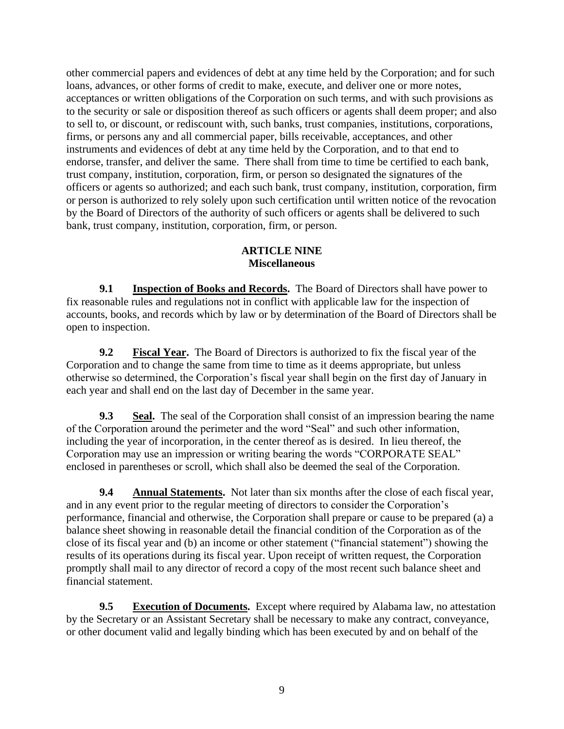other commercial papers and evidences of debt at any time held by the Corporation; and for such loans, advances, or other forms of credit to make, execute, and deliver one or more notes, acceptances or written obligations of the Corporation on such terms, and with such provisions as to the security or sale or disposition thereof as such officers or agents shall deem proper; and also to sell to, or discount, or rediscount with, such banks, trust companies, institutions, corporations, firms, or persons any and all commercial paper, bills receivable, acceptances, and other instruments and evidences of debt at any time held by the Corporation, and to that end to endorse, transfer, and deliver the same. There shall from time to time be certified to each bank, trust company, institution, corporation, firm, or person so designated the signatures of the officers or agents so authorized; and each such bank, trust company, institution, corporation, firm or person is authorized to rely solely upon such certification until written notice of the revocation by the Board of Directors of the authority of such officers or agents shall be delivered to such bank, trust company, institution, corporation, firm, or person.

## **ARTICLE NINE Miscellaneous**

**9.1 Inspection of Books and Records.** The Board of Directors shall have power to fix reasonable rules and regulations not in conflict with applicable law for the inspection of accounts, books, and records which by law or by determination of the Board of Directors shall be open to inspection.

**9.2** Fiscal Year. The Board of Directors is authorized to fix the fiscal year of the Corporation and to change the same from time to time as it deems appropriate, but unless otherwise so determined, the Corporation's fiscal year shall begin on the first day of January in each year and shall end on the last day of December in the same year.

**9.3** Seal. The seal of the Corporation shall consist of an impression bearing the name of the Corporation around the perimeter and the word "Seal" and such other information, including the year of incorporation, in the center thereof as is desired. In lieu thereof, the Corporation may use an impression or writing bearing the words "CORPORATE SEAL" enclosed in parentheses or scroll, which shall also be deemed the seal of the Corporation.

**9.4 Annual Statements.** Not later than six months after the close of each fiscal year, and in any event prior to the regular meeting of directors to consider the Corporation's performance, financial and otherwise, the Corporation shall prepare or cause to be prepared (a) a balance sheet showing in reasonable detail the financial condition of the Corporation as of the close of its fiscal year and (b) an income or other statement ("financial statement") showing the results of its operations during its fiscal year. Upon receipt of written request, the Corporation promptly shall mail to any director of record a copy of the most recent such balance sheet and financial statement.

**9.5 Execution of Documents.** Except where required by Alabama law, no attestation by the Secretary or an Assistant Secretary shall be necessary to make any contract, conveyance, or other document valid and legally binding which has been executed by and on behalf of the